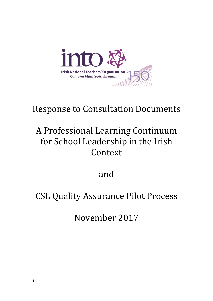

# Response to Consultation Documents

# A Professional Learning Continuum for School Leadership in the Irish Context

and

## CSL Quality Assurance Pilot Process

November 2017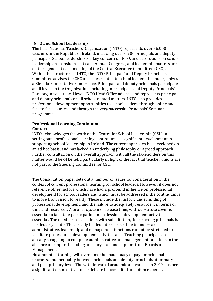## **INTO and School Leadership**

The Irish National Teachers' Organization (INTO) represents over 36,000 teachers in the Republic of Ireland, including over 6,200 principals and deputy principals. School leadership is a key concern of INTO, and resolutions on school leadership are considered at each Annual Congress, and leadership matters are on the agenda at each meeting of the Central Executive Committee (CEC). Within the structures of INTO, the INTO Principals' and Deputy Principals' Committee advises the CEC on issues related to school leadership and organizes a Biennial Consultative Conference. Principals and deputy principals participate at all levels in the Organization, including in Principals' and Deputy Principals' Fora organized at local level. INTO Head Office advises and represents principals and deputy principals on all school related matters. INTO also provides professional development opportunities to school leaders, through online and face to face courses, and through the very successful Principals' Seminar programme.

### **Professional Learning Continuum Context**

INTO acknowledges the work of the Centre for School Leadership (CSL) in setting out a professional learning continuum is a significant development in supporting school leadership in Ireland. The current approach has developed on an ad hoc basis, and has lacked an underlying philosophy or agreed approach. Further consultation on the overall approach with all the stakeholders on this matter would be of benefit, particularly in light of the fact that teacher unions are not part of the Steering Committee for CSL.

The Consultation paper sets out a number of issues for consideration in the context of current professional learning for school leaders. However, it does not reference other factors which have had a profound influence on professional development for school leaders and which must be addressed if the continuum is to move from vision to reality. These include the historic underfunding of professional development, and the failure to adequately resource it in terms of time and resources. A proper system of release time, with substitute cover is essential to facilitate participation in professional development activities is essential. The need for release time, with substitution, for teaching principals is particularly acute. The already inadequate release time to undertake administrative, leadership and management functions cannot be stretched to facilitate professional development activities also. Teaching principals are already struggling to complete administrative and management functions in the absence of support including ancillary staff and support from Boards of Management.

No amount of training will overcome the inadequacy of pay for principal teachers, and inequality between principals and deputy principals at primary and post primary level. The withdrawal of academic allowances in 2012 has been a significant disincentive to participate in accredited and often expensive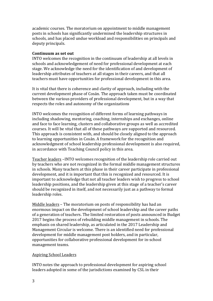academic courses. The moratorium on appointment to middle management posts in schools has significantly undermined the leadership structures in schools, and has placed undue workload and responsibilities on principals and deputy principals.

## **Continuum as set out**

INTO welcomes the recognition in the continuum of leadership at all levels in schools and acknowledgement of need for professional development at each stage. We acknowledge the need for the identification of and development of leadership attributes of teachers at all stages in their careers, and that all teachers must have opportunities for professional development in this area.

It is vital that there is coherence and clarity of approach, including with the current development phase of Cosán. The approach taken must be coordinated between the various providers of professional development, but in a way that respects the roles and autonomy of the organizations

INTO welcomes the recognition of different forms of learning pathways in including shadowing, mentoring, coaching, internships and exchanges, online and face to face learning, clusters and collaborative groups as well as accredited courses. It will be vital that all of these pathways are supported and resourced. This approach is consistent with, and should be closely aligned to the approach to learning opportunities in Cosán. A framework for the recognition and acknowledgment of school leadership professional development is also required, in accordance with Teaching Council policy in this area.

Teacher leaders –INTO welcomes recognition of the leadership role carried out by teachers who are not recognized in the formal middle management structures in schools. Many teachers at this phase in their career participate in professional development, and it is important that this is recognized and resourced. It is important to acknowledge that not all teacher leaders wish to progress to school leadership positions, and the leadership given at this stage of a teacher's career should be recognized in itself, and not necessarily just as a pathway to formal leadership roles.

Middle leaders – The moratorium on posts of responsibility has had an enormous impact on the development of school leadership and the career paths of a generation of teachers. The limited restoration of posts announced in Budget 2017 begins the process of rebuilding middle management in schools. The emphasis on shared leadership, as articulated in the 2017 Leadership and Management Circular is welcome. There is an identified need for professional development for middle management post holders, and in particular, opportunities for collaborative professional development for in-school management teams.

## Aspiring School Leaders

INTO notes the approach to professional development for aspiring school leaders adopted in some of the jurisdictions examined by CSL in their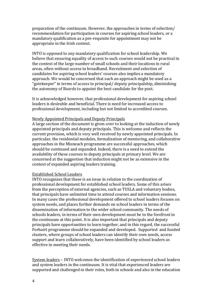preparation of the continuum. However, the approaches in terms of selection/ recommendation for participation in courses for aspiring school leaders, or a mandatory qualification as a pre-requisite for appointment may not be appropriate in the Irish context.

INTO is opposed to any mandatory qualification for school leadership. We believe that ensuring equality of access to such courses would not be practical in the context of the large number of small schools and their locations in rural areas, often without access to broadband. Recruitment and selection of candidates for aspiring school leaders' courses also implies a mandatory approach. We would be concerned that such an approach might be used as a "gatekeeper" in terms of access to principal/ deputy principalship, diminishing the autonomy of Boards to appoint the best candidate for the post.

It is acknowledged however, that professional development for aspiring school leaders is desirable and beneficial. There is need for increased access to professional development, including but not limited to accredited courses.

#### Newly Appointed Principals and Deputy Principals

A large section of the document is given over to looking at the induction of newly appointed principals and deputy principals. This is welcome and reflects the current provision, which is very well received by newly appointed principals. In particular, the residential modules, formalization of mentoring, and collaborative approaches in the Misneach programme are successful approaches, which should be continued and expanded. Indeed, there is a need to extend the availability of these courses to deputy principals at primary level. We are concerned at the suggestion that induction might not be as extensive in the context of expanded aspiring leaders training.

#### Established School Leaders

INTO recognizes that these is an issue in relation to the coordination of professional development for established school leaders. Some of this arises from the perception of external agencies, such as TUSLA and voluntary bodies, that principals have unlimited time to attend courses and information sessions. In many cases the professional development offered to school leaders focuses on system needs, and places further demands on school leaders in terms of the dissemination of information to the wider school community. The needs of schools leaders, in terms of their own development must be to the forefront in the continuum at this point. It is also important that principals and deputy principals have opportunities to learn together, and in this regard, the successful Forbairt programme should be expanded and developed. Supported and funded clusters, where groups of school leaders can identify their own needs, access support and learn collaboratively, have been identified by school leaders as effective in meeting their needs.

System leaders – INTO welcomes the identification of experienced school leaders and system leaders in the continuum. It is vital that experienced leaders are supported and challenged in their roles, both in schools and also in the education